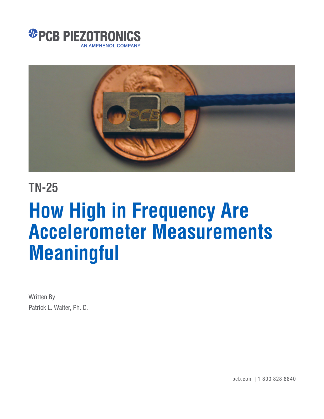



## **TN-25**

# **How High in Frequency Are Accelerometer Measurements Meaningful**

Written By Patrick L. Walter, Ph. D.

pcb.com | 1 800 828 8840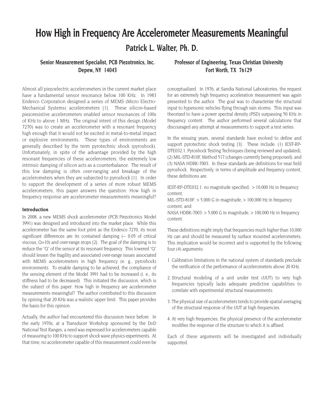### **How High in Frequency Are Accelerometer Measurements Meaningful Patrick L. Walter, Ph. D.**

#### **Senior Measurement Specialist, PCB Piezotronics, Inc. Depew, NY 14043**

Almost all piezoelectric accelerometers in the current market place have a fundamental sensor resonance below 100 KHz. In 1983 Endevco Corporation designed a series of MEMS (Micro Electro-Mechanical Systems) accelerometers [1]. These silicon-based piezoresistive accelerometers enabled sensor resonances of 100s of KHz to above 1 MHz. The original intent of this design (Model 7270) was to create an accelerometer with a resonant frequency high enough that it would not be excited in metal-to-metal impact or explosive environments. These types of environments are generally described by the term pyrotechnic shock (pyroshock). Unfortunately, in spite of the advantage provided by the high resonant frequencies of these accelerometers, the extremely low intrinsic damping of silicon acts as a counterbalance. The result of this low damping is often over-ranging and breakage of the accelerometers when they are subjected to pyroshock [1]. In order to support the development of a series of more robust MEMS accelerometers, this paper answers the question: How high in frequency response are accelerometer measurements meaningful?

#### **Introduction**

In 2008, a new MEMS shock accelerometer (PCB Piezotronics Model 3991) was designed and introduced into the market place. While this accelerometer has the same foot print as the Endevco 7270, its most significant differences are its contained damping (~ 0.05 of critical viscous, Q=10) and over-range stops [2]. The goal of the damping is to reduce the "Q" of the sensor at its resonant frequency. This lowered "Q" should lessen the fragility and associated over-range issues associated with MEMS accelerometers in high frequency (e. g., pyroshock) environments. To enable damping to be achieved, the compliance of the sensing element of the Model 3991 had to be increased (i. e., its stiffness had to be decreased). This initiated the discussion, which is the subject of this paper: How high in frequency are accelerometer measurements meaningful? The author contributed to this discussion by opining that 20 KHz was a realistic upper limit. This paper provides the basis for this opinion.

Actually, the author had encountered this discussion twice before. In the early 1970s, at a Transducer Workshop sponsored by the DoD National Test Ranges, a need was expressed for accelerometers capable of measuring to 100 KHz to support shock wave physics experiments. At that time, no accelerometer capable of this measurement could even be

#### **Professor of Engineering, Texas Christian University Fort Worth, TX 76129**

conceptualized. In 1976, at Sandia National Laboratories, the request for an extremely high frequency acceleration measurement was again presented to the author. The goal was to characterize the structural input to hypersonic vehicles flying through rain storms. This input was theorized to have a power spectral density (PSD) surpassing 50 KHz in frequency content. The author performed several calculations that discouraged any attempt at measurements to support a test series.

In the ensuing years, several standards have evolved to define and support pyrotechnic shock testing [3]. These include: (1) IEST-RP-DTE032.1, Pyroshock Testing Techniques (being reviewed and updated), (2) MIL-STD-810F, Method 517 (changes currently being proposed), and (3) NASA HDBK-7003. In these standards are definitions for near field pyroshock. Respectively, in terms of amplitude and frequency content, these definitions are:

IEST-RP-DTE032.1: no magnitude specified, > 10,000 Hz in frequency content,

MIL-STD-810F:  $> 5,000$  G in magnitude,  $> 100,000$  Hz in frequency content, and

NASA HDBK-7003: > 5,000 G in magnitude, > 100,000 Hz in frequency content.

These definitions might imply that frequencies much higher than 10,000 Hz can and should be measured by surface mounted accelerometers. This implication would be incorrect and is supported by the following four (4) arguments:

- 1. Calibration limitations in the national system of standards preclude the verification of the performance of accelerometers above 20 KHz.
- 2. Structural modeling of a unit under test (UUT) to very high frequencies typically lacks adequate predictive capabilities to correlate with experimental structural measurements.
- 3. The physical size of accelerometers tends to provide spatial averaging of the structural response of the UUT at high frequencies.
- 4. At very high frequencies, the physical presence of the accelerometer modifies the response of the structure to which it is affixed.

Each of these arguments will be investigated and individually supported.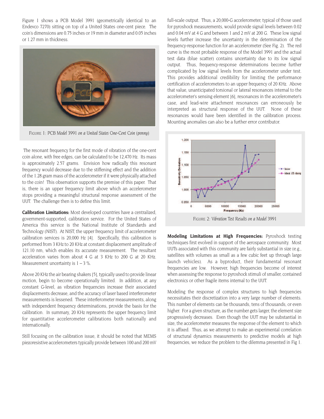Figure 1 shows a PCB Model 3991 (geometrically identical to an Endevco 7270) sitting on top of a United States one-cent piece. The coin's dimensions are 0.75 inches or 19 mm in diameter and 0.05 inches or 1.27 mm in thickness.



*FIGURE 1: PCB Model 3991 on a United States One-Cent Coin (penny)*

The resonant frequency for the first mode of vibration of the one-cent coin alone, with free edges, can be calculated to be 12,470 Hz. Its mass is approximately 2.57 grams. Envision how radically this resonant frequency would decrease due to the stiffening effect and the addition of the 1.28 gram mass of the accelerometer if it were physically attached to the coin! This observation supports the premise of this paper. That is, there is an upper frequency limit above which an accelerometer stops providing a meaningful structural response assessment of the UUT. The challenge then is to define this limit.

**Calibration Limitations:** Most developed countries have a centralized, government-supported, calibration service. For the United States of America this service is the National Institute of Standards and Technology (NIST). At NIST, the upper frequency limit of accelerometer calibration services is 20,000 Hz [4]. Specifically, this calibration is performed from 3 KHz to 20 KHz at constant displacement amplitude of 121.10 nm, which enables its accurate measurement. The resultant acceleration varies from about 4 G at 3 KHz to 200 G at 20 KHz. Measurement uncertainty is  $1 - 3$  %.

Above 20 KHz the air bearing shakers [5], typically used to provide linear motion, begin to become operationally limited. In addition, at any constant G-level, as vibration frequencies increase their associated displacements decrease, and the accuracy of laser based interferometer measurements is lessened. These interferometer measurements, along with independent frequency determinations, provide the basis for the calibration. In summary, 20 KHz represents the upper frequency limit for quantitative accelerometer calibrations both nationally and internationally.

Still focusing on the calibration issue, it should be noted that MEMS piezoresistive accelerometers typically provide between 100 and 200 mV

full-scale output. Thus, a 20,000-G accelerometer, typical of those used for pyroshock measurements, would provide signal levels between 0.02 and 0.04 mV at 4 G and between 1 and 2 mV at 200 G. These low signal levels further increase the uncertainty in the determination of the frequency-response function for an accelerometer (See Fig. 2). The red curve is the most probable response of the Model 3991 and the actual test data (blue scatter) contains uncertainty due to its low signal output. Thus, frequency-response determinations become further complicated by low signal levels from the accelerometer under test. This provides additional credibility for limiting the performance certification of accelerometers to an upper frequency of 20 KHz. Above that value, unanticipated torsional or lateral resonances internal to the accelerometer's sensing element [6], resonances in the accelerometer's case, and lead-wire attachment resonances can erroneously be interpreted as structural response of the UUT. None of these resonances would have been identified in the calibration process. Mounting anomalies can also be a further error contributor.



**Modeling Limitations at High Frequencies:** Pyroshock testing techniques first evolved in support of the aerospace community. Most UUTs associated with this community are fairly substantial in size (e.g., satellites with volumes as small as a few cubic feet up through large launch vehicles). As a byproduct, their fundamental resonant frequencies are low. However, high frequencies become of interest when assessing the response to pyroshock stimuli of smaller, contained electronics or other fragile items internal to the UUT.

Modeling the response of complex structures to high frequencies necessitates their discretization into a very large number of elements. This number of elements can be thousands, tens of thousands, or even higher. For a given structure, as the number gets larger, the element size progressively decreases. Even though the UUT may be substantial in size, the accelerometer measures the response of the element to which it is affixed. Thus, as we attempt to make an experimental correlation of structural dynamics measurements to predictive models at high frequencies, we reduce the problem to the dilemma presented in Fig 1.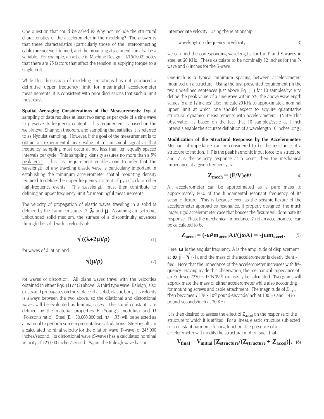One question that could be asked is: Why not include the structural characteristics of the accelerometer in the modeling? The answer is that these characteristics (particularly those of the interconnecting cable) are not well defined, and the mounting attachment can also be a variable. For example, an article in Machine Design (11/15/2002) notes that there are 75 factors that affect the tension in applying torque to a single bolt.

While this discussion of modeling limitations has not produced a definitive upper frequency limit for meaningful accelerometer measurements, it is consistent with prior discussions that such a limit must exist.

**Spatial Averaging Considerations of the Measurements:** Digital sampling of data requires at least two samples per cycle of a sine wave to preserve its frequency content. This requirement is based on the well-known Shannon theorem, and sampling that satisfies it is referred to as Nyquist sampling. However, if the goal of the measurement is to obtain an experimental peak value of a sinusoidal signal at that frequency, sampling must occur at not less than ten equally spaced intervals per cycle. This sampling density assures no more than a 5% peak error. This last requirement enables one to infer that the wavelength of any traveling elastic wave is particularly important in establishing the minimum accelerometer spatial mounting density required to define the upper frequency content of pyroshock or other high-frequency events. This wavelength must then contribute to defining an upper frequency limit for meaningful measurements.

The velocity of propagation of elastic waves traveling in a solid is defined by the Lamé constants [7]  $\lambda$  and  $\mu$ . Assuming an isotropic, unbounded solid medium, the surface of a discontinuity advances through the solid with a velocity of:

$$
\sqrt{((\lambda+2\mu)/\rho)}\tag{1}
$$

for waves of dilation and

$$
\sqrt{\mu/\rho} \tag{2}
$$

for waves of distortion. All plane waves travel with the velocities obtained in either Eqs. (1) or (2) above. A third type wave (Raleigh) also exists and propagates on the surface of a solid, elastic body. Its velocity is always between the two above, so the dilational and distortional waves will be evaluated as limiting cases. The Lamé constants are defined by the material properties E (Young's modulus) and  $\upsilon$ (Poisson's ratio). Steel (E = 30,000,000 psi,  $v = .33$ ) will be selected as a material to perform some representative calculations. Steel results in a calculated nominal velocity for the dilation wave (P-wave) of 245,000 inches/second. Its distortional wave (S-wave) has a calculated nominal velocity of 123,000 inches/second. Again, the Raleigh wave has an

intermediate velocity. Using the relationship:

$$
(wavelength) x (frequency) = velocity
$$
\n
$$
(3)
$$

we can find the corresponding wavelengths for the P and S waves in steel at 20 KHz. These calculate to be nominally 12 inches for the Pwave and 6 inches for the S-wave.

One-inch is a typical minimum spacing between accelerometers mounted on a structure. Using the just-presented requirement (in the two underlined sentences just above Eq. (1)) for 10 samples/cycle to define the peak value of a sine wave within 5%, the above wavelength values (6 and 12 inches) also indicate 20 KHz to approximate a nominal upper limit at which one should expect to acquire quantitative structural dynamics measurements with accelerometers. (Note: This observation is based on the fact that 10 samples/cycle at 1-inch intervals enable the accurate definition of a wavelength 10 inches long.)

**Modification of the Structural Response by the Accelerometer:** Mechanical impedance can be considered to be the resistance of a structure to motion. If F is the peak harmonic input force to a structure, and V is the velocity response at a point, then the mechanical impedance at a given frequency is:

$$
Z_{\text{mech}} = (F/V)e^{j\theta}.
$$
 (4)

An accelerometer can be approximated as a pure mass to approximately 80% of the fundamental resonant frequency of its seismic flexure. This is because even as the seismic flexure of the accelerometer approaches resonance, if properly designed, the much larger, rigid accelerometer case that houses the flexure will dominate its response. Thus, the mechanical impedance (Z) of an accelerometer can be calculated to be:

$$
Z_{\text{accel}} = (-\omega^2 m_{\text{accel}} A) / (j \omega A) = -j \omega m_{\text{accel}}.
$$
 (5)

Here,  $\omega$  is the angular frequency, A is the amplitude of displacement at  $\omega$ ,  $\mathbf{i} = \sqrt{\mathbf{r}^2 + \mathbf{r}^2}$  (-1), and the mass of the accelerometer is clearly identified. Note that the impedance of the accelerometer increases with frequency. Having made this observation, the mechanical impedance of an Endevco 7270 or PCB 3991 can easily be calculated. Two grams will approximate the mass of either accelerometer while also accounting for mounting screws and cable attachment. The magnitude of  $Z_{\text{accel}}$ then becomes 7.178 x 10<sup>-3</sup> pound-seconds/inch at 100 Hz and 1.436 pound-seconds/inch at 20 KHz.

It is then desired to assess the effect of  $Z_{\text{accel}}$  on the response of the structure to which it is affixed. For a linear, elastic structure subjected to a constant harmonic forcing function, the presence of an accelerometer will modify the structural motion such that:

$$
V_{final} = V_{initial} [Z_{structure}/(Z_{structure} + Z_{accel})].
$$
 (6)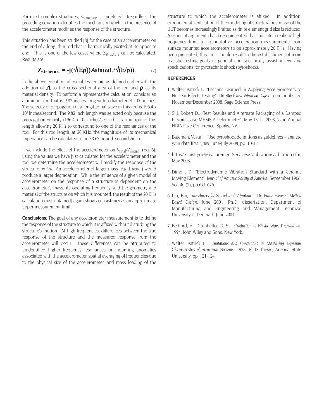For most complex structures, Z<sub>structure</sub> is undefined. Regardless, the preceding equation identifies the mechanism by which the presence of the accelerometer modifies the response of the structure.

This situation has been studied [8] for the case of an accelerometer on the end of a long, thin rod that is harmonically excited at its opposite end. This is one of the few cases where  $Z_{structure}$  can be calculated. Results are:

$$
Z_{structure} = -j(\sqrt{(E\rho)})A\sin(\omega L/\sqrt{(E/\rho)}).
$$
 (7)

In the above equation, all variables remain as defined earlier with the addition of **A** as the cross sectional area of the rod and  $\rho$  as its material density. To perform a representative calculation, consider an aluminum rod that is 9.82 inches long with a diameter of 1.00 inches. The velocity of propagation of a longitudinal wave in this rod is 196.4 x 10<sup>3</sup> inches/second. The 9.82 inch length was selected only because the propagation velocity (196.4 x  $10<sup>3</sup>$  inches/second) is a multiple of this length allowing 20 KHz to correspond to one of the resonances of the rod. For this rod length, at 20 KHz, the magnitude of its mechanical impedance can be calculated to be 33.63 pound–seconds/inch.

If we include the effect of the accelerometer on  $V_{final}/V_{initial}$  (Eq. 6), using the values we have just calculated for the accelerometer and the rod, we determine the accelerometer will modify the response of the structure by 5%. An accelerometer of larger mass (e.g. triaxial) would produce a larger degradation. While the influence of a given model of accelerometer on the response of a structure is dependent on the accelerometer's mass, its operating frequency, and the geometry and material of the structure on which it is mounted, the result of the 20 KHz calculation (just obtained) again shows consistency as an approximate upper-measurement limit.

**Conclusions:** The goal of any accelerometer measurement is to define the response of the structure to which it is affixed without disturbing the structure's motion. At high frequencies, differences between the true response of the structure and the measured response from the accelerometer will occur. These differences can be attributed to unidentified higher frequency resonances or mounting anomalies associated with the accelerometer, spatial averaging of frequencies due to the physical size of the accelerometer, and mass loading of the

structure to which the accelerometer is affixed. In addition, experimental verification of the modeling of structural response of the UUT becomes increasingly limited as finite element grid size is reduced. A series of arguments has been presented that indicate a realistic high frequency limit for quantitative acceleration measurements from surface mounted accelerometers to be approximately 20 KHz. Having been presented, this limit should result in the establishment of more realistic testing goals in general and specifically assist in evolving specifications for pyrotechnic shock (pyroshock).

#### **REFERENCES**

- 1. Walter, Patrick L. "Lessons Learned in Applying Accelerometers to Nuclear Effects Testing", *The Shock and Vibration Digest,* to be published November/December 2008, Sage Science Press.
- 2. Sill, Robert D., "Test Results and Alternate Packaging of a Damped Piezoresistive MEMS Accelerometer", May 13-15, 2008, 52nd Annual NDIA Fuze Conference, Sparks, NV.
- 3. Bateman, Vesta I., "Use pyroshock definitions as guidelines analyze your data first!", *Test,* June/July 2008, pp. 10-12.
- 4. http://ts.nist.gov/MeasurementServices/Calibrations/vibration.cfm, May 2008.
- 5. Dimoff, T., "Electrodynamic Vibration Standard with a Ceramic Moving Element", *Journal of Acoustic Society of America,* September 1966, Vol. 40 (3), pp 671-676.
- 6. Liu, Bin, *Transducers for Sound and Vibration The Finite Element Method Based Design,* June 2001, Ph.D. dissertation, Department of Manufacturing and Engineering and Management Technical University of Denmark. June 2001.
- 7. Bedford, A., Drumheller, D. S., *Introduction to Elastic Wave Propagation,* 1994, John Wiley and Sons, New York.
- 8. Walter, Patrick L., *Limitations and Corrections in Measuring Dynamic Characteristics of Structural Systems,* 1978, Ph.D. thesis, Arizona State University, pp. 121-124.